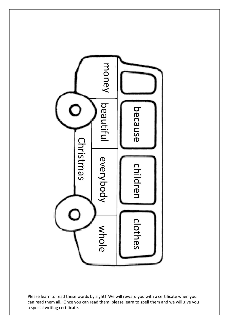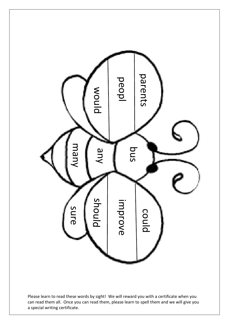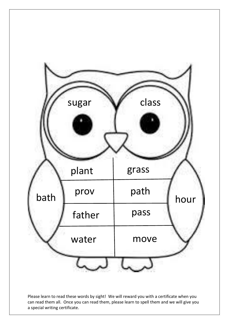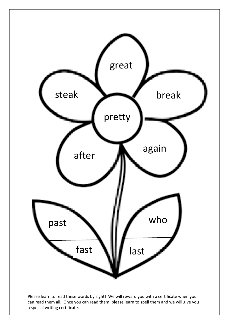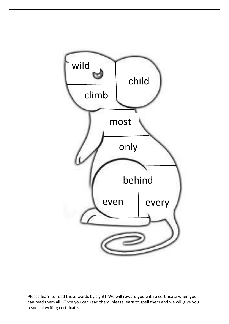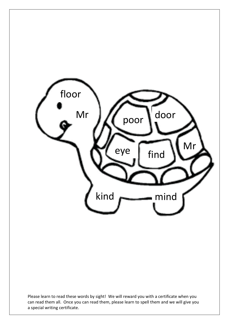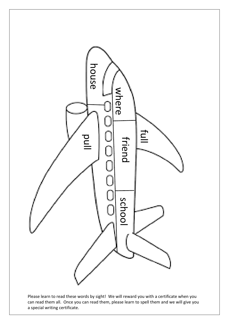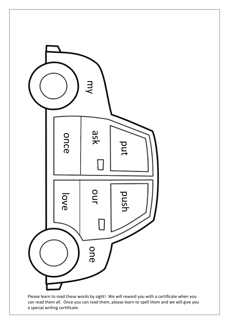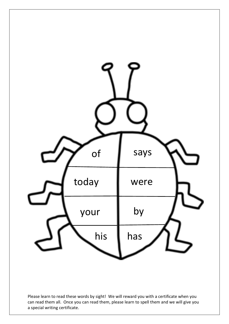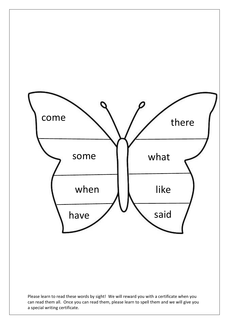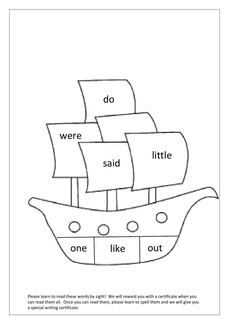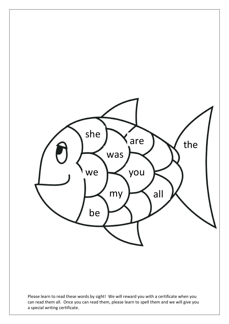